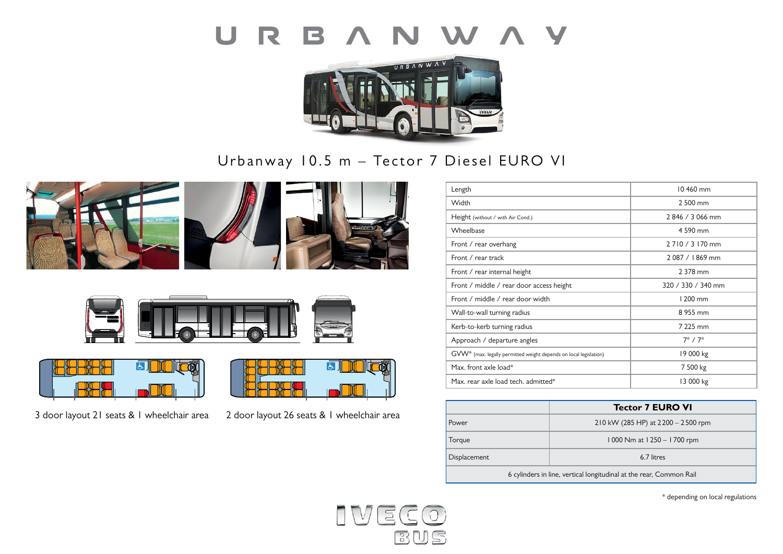



Urbanway 10.5 m – Tector 7 Diesel EURO VI











3 door layout 21 seats & 1 wheelchair area 2 door layout 26 seats & 1 wheelchair area



| Length                                                            | 10 460 mm             |
|-------------------------------------------------------------------|-----------------------|
| Width                                                             | 2 500 mm              |
| Height (without / with Air Cond.)                                 | 2846 / 3066 mm        |
| Wheelbase                                                         | 4 590 mm              |
| Front / rear overhang                                             | 2710/3170 mm          |
| Front / rear track                                                | 2087 / 1869 mm        |
| Front / rear internal height                                      | 2 378 mm              |
| Front / middle / rear door access height                          | 320 / 330 / 340 mm    |
| Front / middle / rear door width                                  | 1 200 mm              |
| Wall-to-wall turning radius                                       | 8 955 mm              |
| Kerb-to-kerb turning radius                                       | 7 225 mm              |
| Approach / departure angles                                       | $7^\circ$ / $7^\circ$ |
| GVW* (max. legally permitted weight depends on local legislation) | 19 000 kg             |
| Max. front axle load*                                             | 7 500 kg              |
| Max. rear axle load tech. admitted*                               | 13 000 kg             |

|                                                                     | <b>Tector 7 EURO VI</b>              |  |
|---------------------------------------------------------------------|--------------------------------------|--|
| Power                                                               | 210 kW (285 HP) at $2200 - 2500$ rpm |  |
| Torque                                                              | 1000 Nm at 1250 - 1700 rpm           |  |
| <b>Displacement</b>                                                 | 6.7 litres                           |  |
| 6 cylinders in line, vertical longitudinal at the rear, Common Rail |                                      |  |

\* depending on local regulations